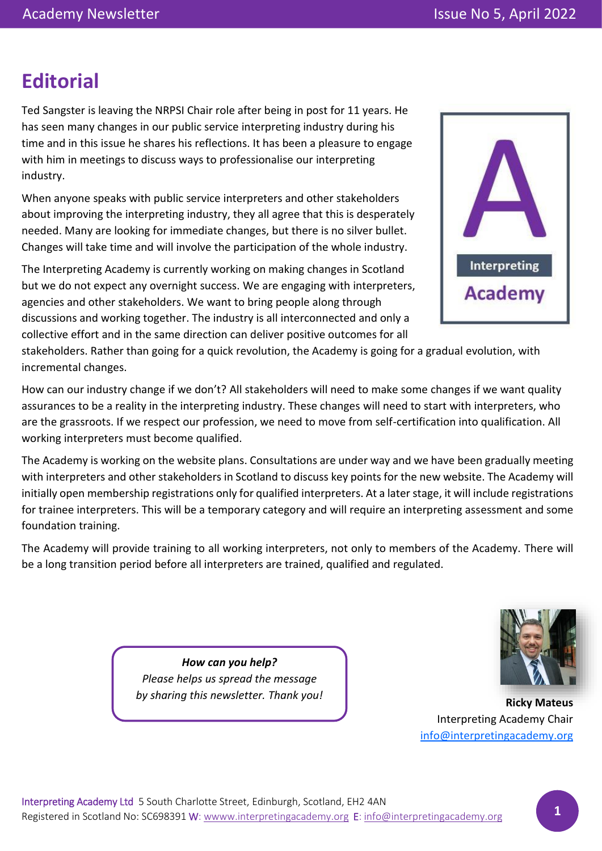# **Editorial**

Ted Sangster is leaving the NRPSI Chair role after being in post for 11 years. He has seen many changes in our public service interpreting industry during his time and in this issue he shares his reflections. It has been a pleasure to engage with him in meetings to discuss ways to professionalise our interpreting industry.

When anyone speaks with public service interpreters and other stakeholders about improving the interpreting industry, they all agree that this is desperately needed. Many are looking for immediate changes, but there is no silver bullet. Changes will take time and will involve the participation of the whole industry.

The Interpreting Academy is currently working on making changes in Scotland but we do not expect any overnight success. We are engaging with interpreters, agencies and other stakeholders. We want to bring people along through discussions and working together. The industry is all interconnected and only a collective effort and in the same direction can deliver positive outcomes for all



stakeholders. Rather than going for a quick revolution, the Academy is going for a gradual evolution, with incremental changes.

How can our industry change if we don't? All stakeholders will need to make some changes if we want quality assurances to be a reality in the interpreting industry. These changes will need to start with interpreters, who are the grassroots. If we respect our profession, we need to move from self-certification into qualification. All working interpreters must become qualified.

The Academy is working on the website plans. Consultations are under way and we have been gradually meeting with interpreters and other stakeholders in Scotland to discuss key points for the new website. The Academy will initially open membership registrations only for qualified interpreters. At a later stage, it will include registrations for trainee interpreters. This will be a temporary category and will require an interpreting assessment and some foundation training.

The Academy will provide training to all working interpreters, not only to members of the Academy. There will be a long transition period before all interpreters are trained, qualified and regulated.



*How can you help? Please helps us spread the message by sharing this newsletter. Thank you!*

**Ricky Mateus** Interpreting Academy Chair [info@interpretingacademy.org](mailto:info@interpretingacademy.org)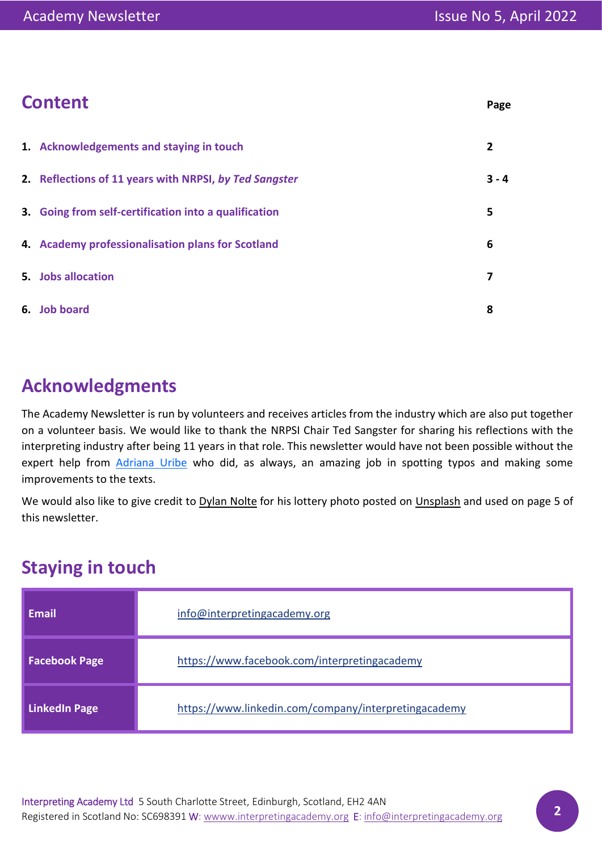| <b>Content</b> | Page |
|----------------|------|
|----------------|------|

| 1. Acknowledgements and staying in touch               | 2       |
|--------------------------------------------------------|---------|
| 2. Reflections of 11 years with NRPSI, by Ted Sangster | $3 - 4$ |
| 3. Going from self-certification into a qualification  | 5       |
| 4. Academy professionalisation plans for Scotland      | 6       |
| 5. Jobs allocation                                     | 7       |
| 6. Job board                                           | 8       |

## **Acknowledgments**

The Academy Newsletter is run by volunteers and receives articles from the industry which are also put together on a volunteer basis. We would like to thank the NRPSI Chair Ted Sangster for sharing his reflections with the interpreting industry after being 11 years in that role. This newsletter would have not been possible without the expert help from [Adriana](https://www.linkedin.com/in/adrianauribe-picaflor/) Uribe who did, as always, an amazing job in spotting typos and making some improvements to the texts.

We would also like to give credit to [Dylan Nolte](https://unsplash.com/@dylan_nolte?utm_source=unsplash&utm_medium=referral&utm_content=creditCopyText) for his lottery photo posted on [Unsplash](https://unsplash.com/s/photos/lottery?utm_source=unsplash&utm_medium=referral&utm_content=creditCopyText) and used on page 5 of this newsletter.

## **Staying in touch**

| <b>Email</b>         | info@interpretingacademy.org                         |
|----------------------|------------------------------------------------------|
| <b>Facebook Page</b> | https://www.facebook.com/interpretingacademy         |
| <b>LinkedIn Page</b> | https://www.linkedin.com/company/interpretingacademy |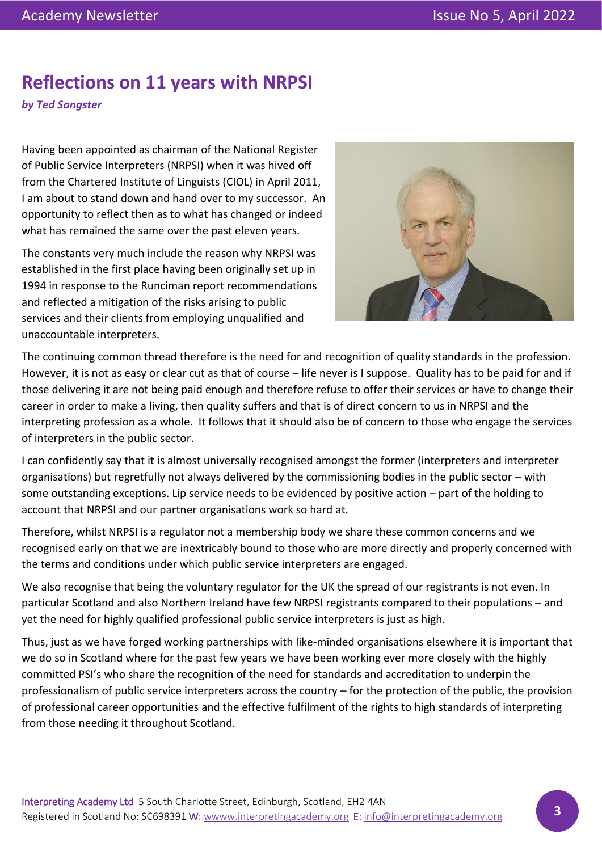## **Reflections on 11 years with NRPSI**

*by Ted Sangster*

Having been appointed as chairman of the National Register of Public Service Interpreters (NRPSI) when it was hived off from the Chartered Institute of Linguists (CIOL) in April 2011, I am about to stand down and hand over to my successor. An opportunity to reflect then as to what has changed or indeed what has remained the same over the past eleven years.

The constants very much include the reason why NRPSI was established in the first place having been originally set up in 1994 in response to the Runciman report recommendations and reflected a mitigation of the risks arising to public services and their clients from employing unqualified and unaccountable interpreters.



The continuing common thread therefore is the need for and recognition of quality standards in the profession. However, it is not as easy or clear cut as that of course – life never is I suppose. Quality has to be paid for and if those delivering it are not being paid enough and therefore refuse to offer their services or have to change their career in order to make a living, then quality suffers and that is of direct concern to us in NRPSI and the interpreting profession as a whole. It follows that it should also be of concern to those who engage the services of interpreters in the public sector.

I can confidently say that it is almost universally recognised amongst the former (interpreters and interpreter organisations) but regretfully not always delivered by the commissioning bodies in the public sector – with some outstanding exceptions. Lip service needs to be evidenced by positive action – part of the holding to account that NRPSI and our partner organisations work so hard at.

Therefore, whilst NRPSI is a regulator not a membership body we share these common concerns and we recognised early on that we are inextricably bound to those who are more directly and properly concerned with the terms and conditions under which public service interpreters are engaged.

We also recognise that being the voluntary regulator for the UK the spread of our registrants is not even. In particular Scotland and also Northern Ireland have few NRPSI registrants compared to their populations – and yet the need for highly qualified professional public service interpreters is just as high.

Thus, just as we have forged working partnerships with like-minded organisations elsewhere it is important that we do so in Scotland where for the past few years we have been working ever more closely with the highly committed PSI's who share the recognition of the need for standards and accreditation to underpin the professionalism of public service interpreters across the country – for the protection of the public, the provision of professional career opportunities and the effective fulfilment of the rights to high standards of interpreting from those needing it throughout Scotland.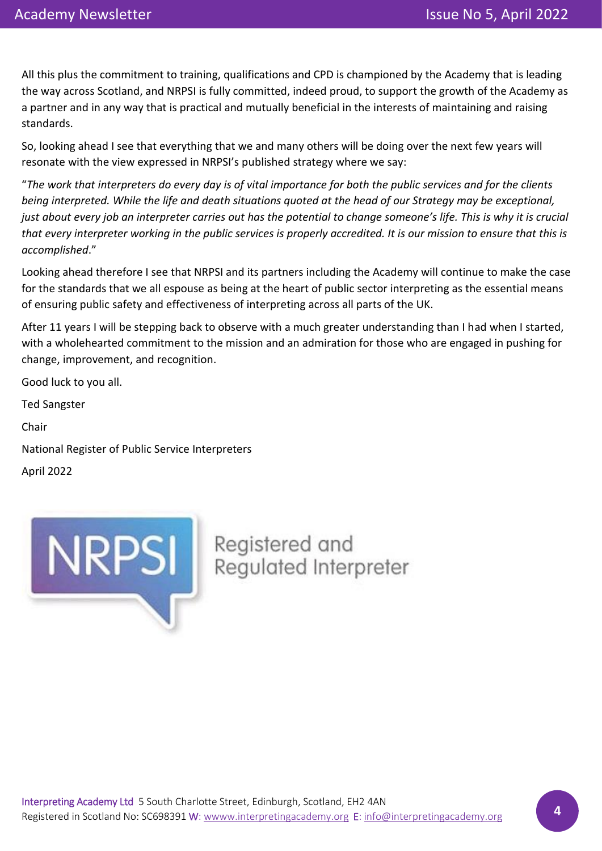All this plus the commitment to training, qualifications and CPD is championed by the Academy that is leading the way across Scotland, and NRPSI is fully committed, indeed proud, to support the growth of the Academy as a partner and in any way that is practical and mutually beneficial in the interests of maintaining and raising standards.

So, looking ahead I see that everything that we and many others will be doing over the next few years will resonate with the view expressed in NRPSI's published strategy where we say:

"*The work that interpreters do every day is of vital importance for both the public services and for the clients being interpreted. While the life and death situations quoted at the head of our Strategy may be exceptional, just about every job an interpreter carries out has the potential to change someone's life. This is why it is crucial that every interpreter working in the public services is properly accredited. It is our mission to ensure that this is accomplished*."

Looking ahead therefore I see that NRPSI and its partners including the Academy will continue to make the case for the standards that we all espouse as being at the heart of public sector interpreting as the essential means of ensuring public safety and effectiveness of interpreting across all parts of the UK.

After 11 years I will be stepping back to observe with a much greater understanding than I had when I started, with a wholehearted commitment to the mission and an admiration for those who are engaged in pushing for change, improvement, and recognition.

Good luck to you all.

Ted Sangster

Chair

National Register of Public Service Interpreters

April 2022

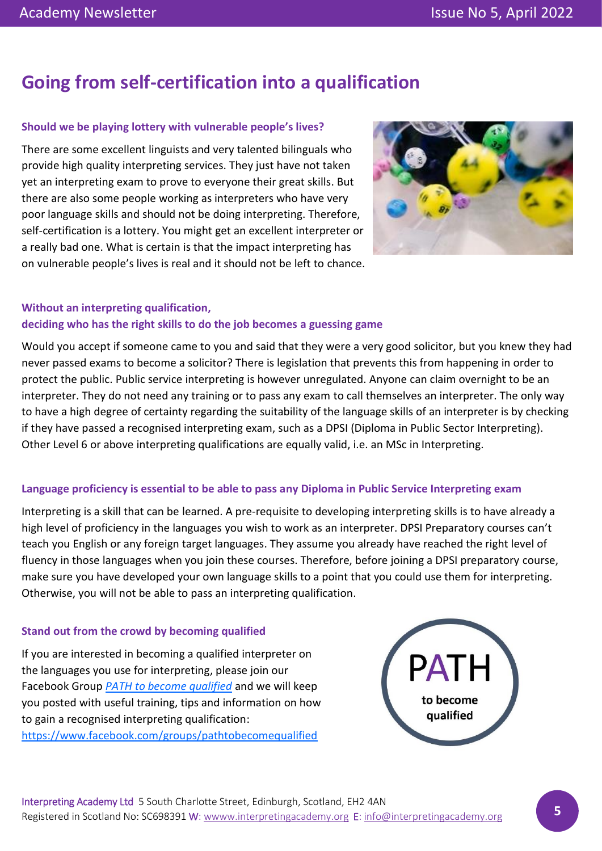# **Going from self-certification into a qualification**

### **Should we be playing lottery with vulnerable people's lives?**

There are some excellent linguists and very talented bilinguals who provide high quality interpreting services. They just have not taken yet an interpreting exam to prove to everyone their great skills. But there are also some people working as interpreters who have very poor language skills and should not be doing interpreting. Therefore, self-certification is a lottery. You might get an excellent interpreter or a really bad one. What is certain is that the impact interpreting has on vulnerable people's lives is real and it should not be left to chance.



### **Without an interpreting qualification, deciding who has the right skills to do the job becomes a guessing game**

Would you accept if someone came to you and said that they were a very good solicitor, but you knew they had never passed exams to become a solicitor? There is legislation that prevents this from happening in order to protect the public. Public service interpreting is however unregulated. Anyone can claim overnight to be an interpreter. They do not need any training or to pass any exam to call themselves an interpreter. The only way to have a high degree of certainty regarding the suitability of the language skills of an interpreter is by checking if they have passed a recognised interpreting exam, such as a DPSI (Diploma in Public Sector Interpreting). Other Level 6 or above interpreting qualifications are equally valid, i.e. an MSc in Interpreting.

### **Language proficiency is essential to be able to pass any Diploma in Public Service Interpreting exam**

Interpreting is a skill that can be learned. A pre-requisite to developing interpreting skills is to have already a high level of proficiency in the languages you wish to work as an interpreter. DPSI Preparatory courses can't teach you English or any foreign target languages. They assume you already have reached the right level of fluency in those languages when you join these courses. Therefore, before joining a DPSI preparatory course, make sure you have developed your own language skills to a point that you could use them for interpreting. Otherwise, you will not be able to pass an interpreting qualification.

### **Stand out from the crowd by becoming qualified**

If you are interested in becoming a qualified interpreter on the languages you use for interpreting, please join our Facebook Group *[PATH to become qualified](https://www.facebook.com/groups/pathtobecomequalified)* and we will keep you posted with useful training, tips and information on how to gain a recognised interpreting qualification: <https://www.facebook.com/groups/pathtobecomequalified>

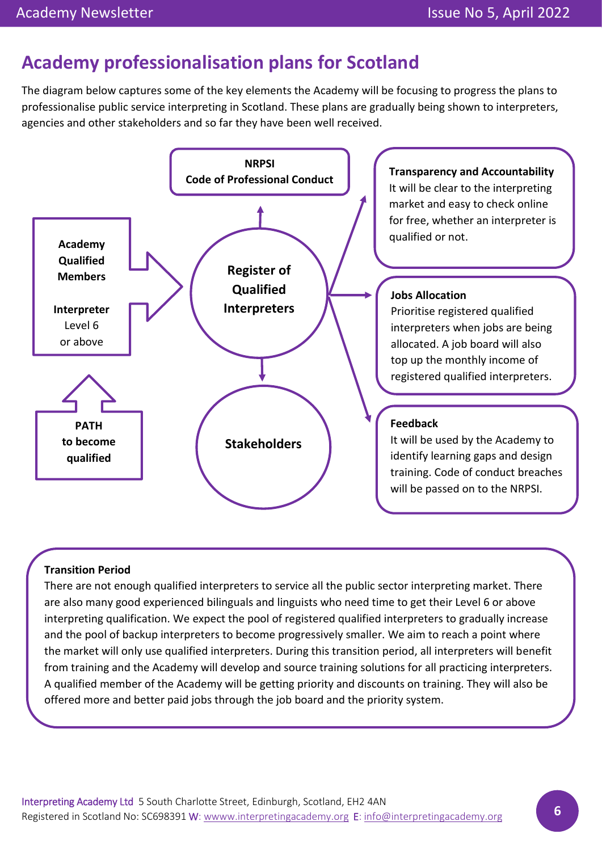## **Academy professionalisation plans for Scotland**

The diagram below captures some of the key elements the Academy will be focusing to progress the plans to professionalise public service interpreting in Scotland. These plans are gradually being shown to interpreters, agencies and other stakeholders and so far they have been well received.



### **Transition Period**

There are not enough qualified interpreters to service all the public sector interpreting market. There are also many good experienced bilinguals and linguists who need time to get their Level 6 or above interpreting qualification. We expect the pool of registered qualified interpreters to gradually increase and the pool of backup interpreters to become progressively smaller. We aim to reach a point where the market will only use qualified interpreters. During this transition period, all interpreters will benefit from training and the Academy will develop and source training solutions for all practicing interpreters. A qualified member of the Academy will be getting priority and discounts on training. They will also be offered more and better paid jobs through the job board and the priority system.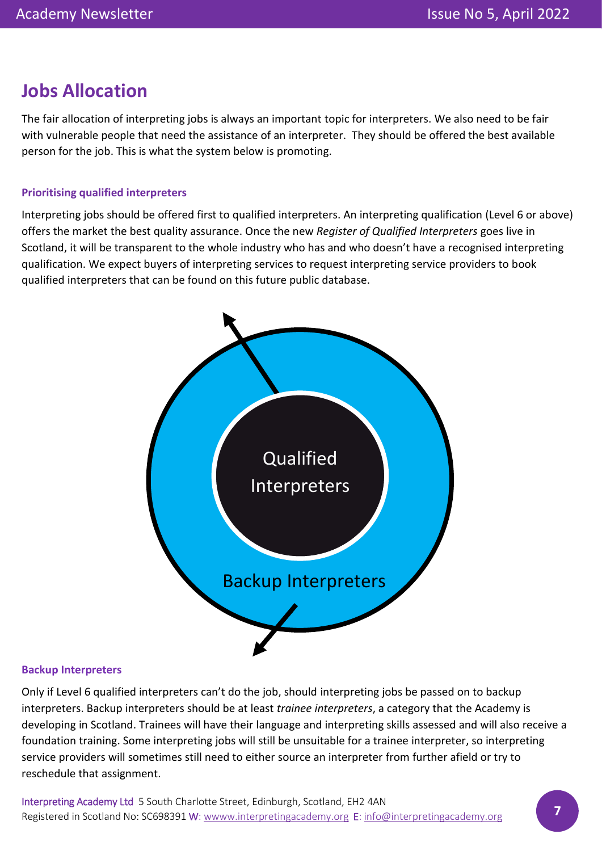## **Jobs Allocation**

The fair allocation of interpreting jobs is always an important topic for interpreters. We also need to be fair with vulnerable people that need the assistance of an interpreter. They should be offered the best available person for the job. This is what the system below is promoting.

### **Prioritising qualified interpreters**

Interpreting jobs should be offered first to qualified interpreters. An interpreting qualification (Level 6 or above) offers the market the best quality assurance. Once the new *Register of Qualified Interpreters* goes live in Scotland, it will be transparent to the whole industry who has and who doesn't have a recognised interpreting qualification. We expect buyers of interpreting services to request interpreting service providers to book qualified interpreters that can be found on this future public database.



### **Backup Interpreters**

Only if Level 6 qualified interpreters can't do the job, should interpreting jobs be passed on to backup interpreters. Backup interpreters should be at least *trainee interpreters*, a category that the Academy is developing in Scotland. Trainees will have their language and interpreting skills assessed and will also receive a foundation training. Some interpreting jobs will still be unsuitable for a trainee interpreter, so interpreting service providers will sometimes still need to either source an interpreter from further afield or try to reschedule that assignment.